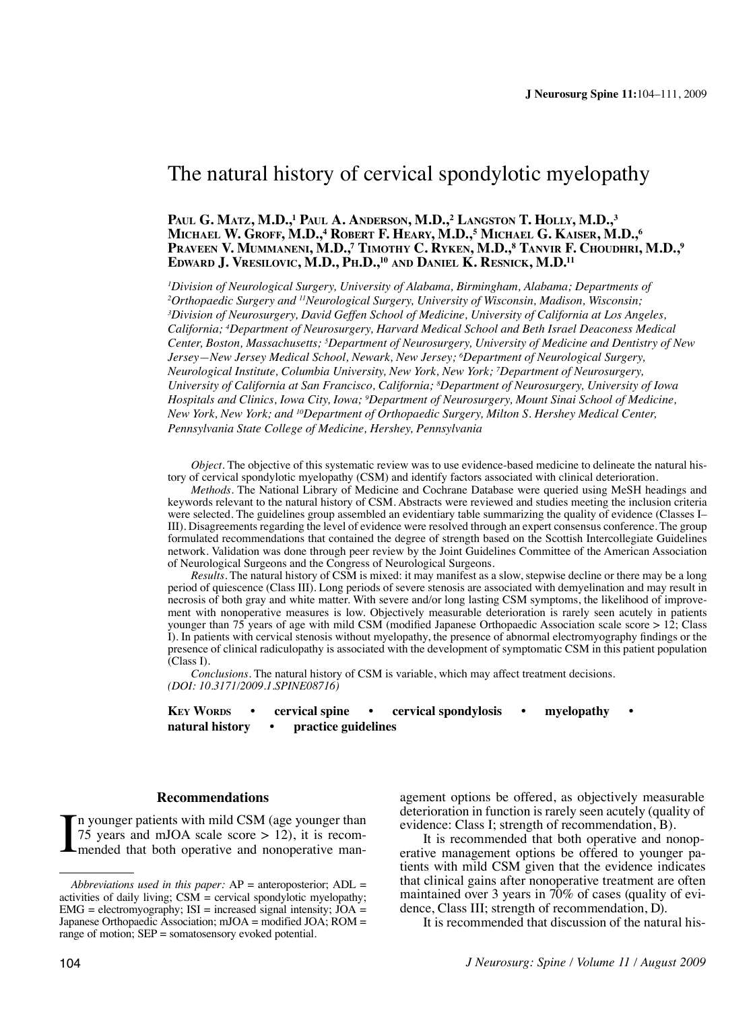# The natural history of cervical spondylotic myelopathy

#### **Paul G. Matz, M.D.,1 Paul A. Anderson, M.D.,2 Langston T. Holly, M.D.,3 Michael W. Groff, M.D.,4 Robert F. Heary, M.D.,5 Michael G. Kaiser, M.D.,6 Praveen V. Mummaneni, M.D.,7 Timothy C. Ryken, M.D.,8 Tanvir F. Choudhri, M.D.,9 Edward J. Vresilovic, M.D., Ph.D.,10 and Daniel K. Resnick, M.D.11**

*1 Division of Neurological Surgery, University of Alabama, Birmingham, Alabama; Departments of*  <sup>2</sup>Orthopaedic Surgery and <sup>11</sup>Neurological Surgery, University of Wisconsin, Madison, Wisconsin;<br><sup>3</sup>Division of Neurosurgery, David Geffen School of Medicine, University of California at Los Ang <sup>3</sup>Division of Neurosurgery, David Geffen School of Medicine, University of California at Los Angeles, *California; 4 Department of Neurosurgery, Harvard Medical School and Beth Israel Deaconess Medical Center, Boston, Massachusetts; 5 Department of Neurosurgery, University of Medicine and Dentistry of New Jersey—New Jersey Medical School, Newark, New Jersey; 6 Department of Neurological Surgery, Neurological Institute, Columbia University, New York, New York; 7 Department of Neurosurgery, University of California at San Francisco, California; 8 Department of Neurosurgery, University of Iowa Hospitals and Clinics, Iowa City, Iowa; 9 Department of Neurosurgery, Mount Sinai School of Medicine, New York, New York; and 10Department of Orthopaedic Surgery, Milton S. Hershey Medical Center, Pennsylvania State College of Medicine, Hershey, Pennsylvania*

*Object*. The objective of this systematic review was to use evidence-based medicine to delineate the natural history of cervical spondylotic myelopathy (CSM) and identify factors associated with clinical deterioration.

*Methods.* The National Library of Medicine and Cochrane Database were queried using MeSH headings and keywords relevant to the natural history of CSM. Abstracts were reviewed and studies meeting the inclusion criteria were selected. The guidelines group assembled an evidentiary table summarizing the quality of evidence (Classes I– III). Disagreements regarding the level of evidence were resolved through an expert consensus conference. The group formulated recommendations that contained the degree of strength based on the Scottish Intercollegiate Guidelines network. Validation was done through peer review by the Joint Guidelines Committee of the American Association of Neurological Surgeons and the Congress of Neurological Surgeons.

*Results.* The natural history of CSM is mixed: it may manifest as a slow, stepwise decline or there may be a long period of quiescence (Class III). Long periods of severe stenosis are associated with demyelination and may result in necrosis of both gray and white matter. With severe and/or long lasting CSM symptoms, the likelihood of improvement with nonoperative measures is low. Objectively measurable deterioration is rarely seen acutely in patients younger than 75 years of age with mild CSM (modified Japanese Orthopaedic Association scale score > 12; Class I). In patients with cervical stenosis without myelopathy, the presence of abnormal electromyography findings or the presence of clinical radiculopathy is associated with the development of symptomatic CSM in this patient population (Class I).

*Conclusions.* The natural history of CSM is variable, which may affect treatment decisions. *(DOI: 10.3171/2009.1.SPINE08716)*

**Key Words • cervical spine • cervical spondylosis • myelopathy • natural history • practice guidelines**

#### **Recommendations**

I n younger patients with mild CSM (age younger than 75 years and mJOA scale score  $> 12$ ), it is recommended that both operative and nonoperative management options be offered, as objectively measurable deterioration in function is rarely seen acutely (quality of evidence: Class I; strength of recommendation, B).

It is recommended that both operative and nonoperative management options be offered to younger patients with mild CSM given that the evidence indicates that clinical gains after nonoperative treatment are often maintained over 3 years in 70% of cases (quality of evidence, Class III; strength of recommendation, D).

It is recommended that discussion of the natural his-

*Abbreviations used in this paper:* AP = anteroposterior; ADL = activities of daily living; CSM = cervical spondylotic myelopathy;  $EMG =$  electromyography;  $ISI =$  increased signal intensity;  $JOA =$ Japanese Orthopaedic Association; mJOA = modified JOA; ROM = range of motion; SEP = somatosensory evoked potential.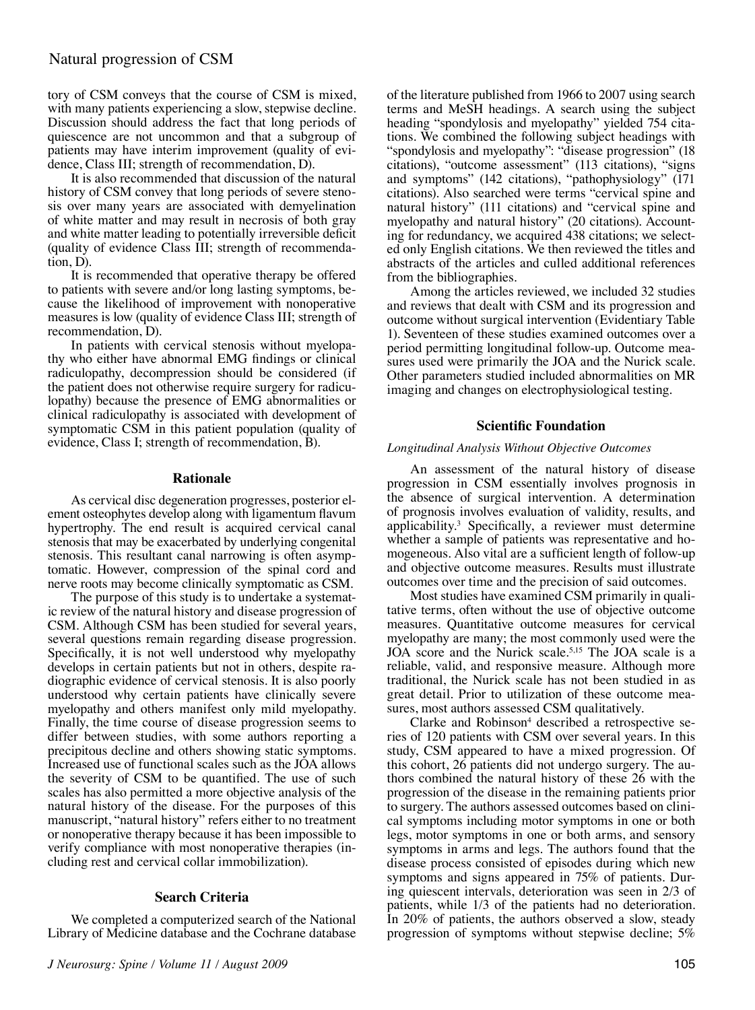tory of CSM conveys that the course of CSM is mixed, with many patients experiencing a slow, stepwise decline. Discussion should address the fact that long periods of quiescence are not uncommon and that a subgroup of patients may have interim improvement (quality of evidence, Class III; strength of recommendation, D).

It is also recommended that discussion of the natural history of CSM convey that long periods of severe stenosis over many years are associated with demyelination of white matter and may result in necrosis of both gray and white matter leading to potentially irreversible deficit (quality of evidence Class III; strength of recommendation, D).

It is recommended that operative therapy be offered to patients with severe and/or long lasting symptoms, because the likelihood of improvement with nonoperative measures is low (quality of evidence Class III; strength of recommendation, D).

In patients with cervical stenosis without myelopathy who either have abnormal EMG findings or clinical radiculopathy, decompression should be considered (if the patient does not otherwise require surgery for radiculopathy) because the presence of EMG abnormalities or clinical radiculopathy is associated with development of symptomatic CSM in this patient population (quality of evidence, Class I; strength of recommendation, B).

## **Rationale**

As cervical disc degeneration progresses, posterior element osteophytes develop along with ligamentum flavum hypertrophy. The end result is acquired cervical canal stenosis that may be exacerbated by underlying congenital stenosis. This resultant canal narrowing is often asymptomatic. However, compression of the spinal cord and nerve roots may become clinically symptomatic as CSM.

The purpose of this study is to undertake a systematic review of the natural history and disease progression of CSM. Although CSM has been studied for several years, several questions remain regarding disease progression. Specifically, it is not well understood why myelopathy develops in certain patients but not in others, despite radiographic evidence of cervical stenosis. It is also poorly understood why certain patients have clinically severe myelopathy and others manifest only mild myelopathy. Finally, the time course of disease progression seems to differ between studies, with some authors reporting a precipitous decline and others showing static symptoms. Increased use of functional scales such as the JOA allows the severity of CSM to be quantified. The use of such scales has also permitted a more objective analysis of the natural history of the disease. For the purposes of this manuscript, "natural history" refers either to no treatment or nonoperative therapy because it has been impossible to verify compliance with most nonoperative therapies (including rest and cervical collar immobilization).

# **Search Criteria**

We completed a computerized search of the National Library of Medicine database and the Cochrane database of the literature published from 1966 to 2007 using search terms and MeSH headings. A search using the subject heading "spondylosis and myelopathy" yielded 754 citations. We combined the following subject headings with "spondylosis and myelopathy": "disease progression" (18 citations), "outcome assessment" (113 citations), "signs and symptoms" (142 citations), "pathophysiology" (171 citations). Also searched were terms "cervical spine and natural history" (111 citations) and "cervical spine and myelopathy and natural history" (20 citations). Accounting for redundancy, we acquired 438 citations; we selected only English citations. We then reviewed the titles and abstracts of the articles and culled additional references from the bibliographies.

Among the articles reviewed, we included 32 studies and reviews that dealt with CSM and its progression and outcome without surgical intervention (Evidentiary Table 1). Seventeen of these studies examined outcomes over a period permitting longitudinal follow-up. Outcome measures used were primarily the JOA and the Nurick scale. Other parameters studied included abnormalities on MR imaging and changes on electrophysiological testing.

# **Scientific Foundation**

## *Longitudinal Analysis Without Objective Outcomes*

An assessment of the natural history of disease progression in CSM essentially involves prognosis in the absence of surgical intervention. A determination of prognosis involves evaluation of validity, results, and applicability.3 Specifically, a reviewer must determine whether a sample of patients was representative and homogeneous. Also vital are a sufficient length of follow-up and objective outcome measures. Results must illustrate outcomes over time and the precision of said outcomes.

Most studies have examined CSM primarily in qualitative terms, often without the use of objective outcome measures. Quantitative outcome measures for cervical myelopathy are many; the most commonly used were the JOA score and the Nurick scale.5,15 The JOA scale is a reliable, valid, and responsive measure. Although more traditional, the Nurick scale has not been studied in as great detail. Prior to utilization of these outcome measures, most authors assessed CSM qualitatively.

Clarke and Robinson<sup>4</sup> described a retrospective series of 120 patients with CSM over several years. In this study, CSM appeared to have a mixed progression. Of this cohort, 26 patients did not undergo surgery. The authors combined the natural history of these 26 with the progression of the disease in the remaining patients prior to surgery. The authors assessed outcomes based on clinical symptoms including motor symptoms in one or both legs, motor symptoms in one or both arms, and sensory symptoms in arms and legs. The authors found that the disease process consisted of episodes during which new symptoms and signs appeared in 75% of patients. During quiescent intervals, deterioration was seen in 2/3 of patients, while 1/3 of the patients had no deterioration. In 20% of patients, the authors observed a slow, steady progression of symptoms without stepwise decline; 5%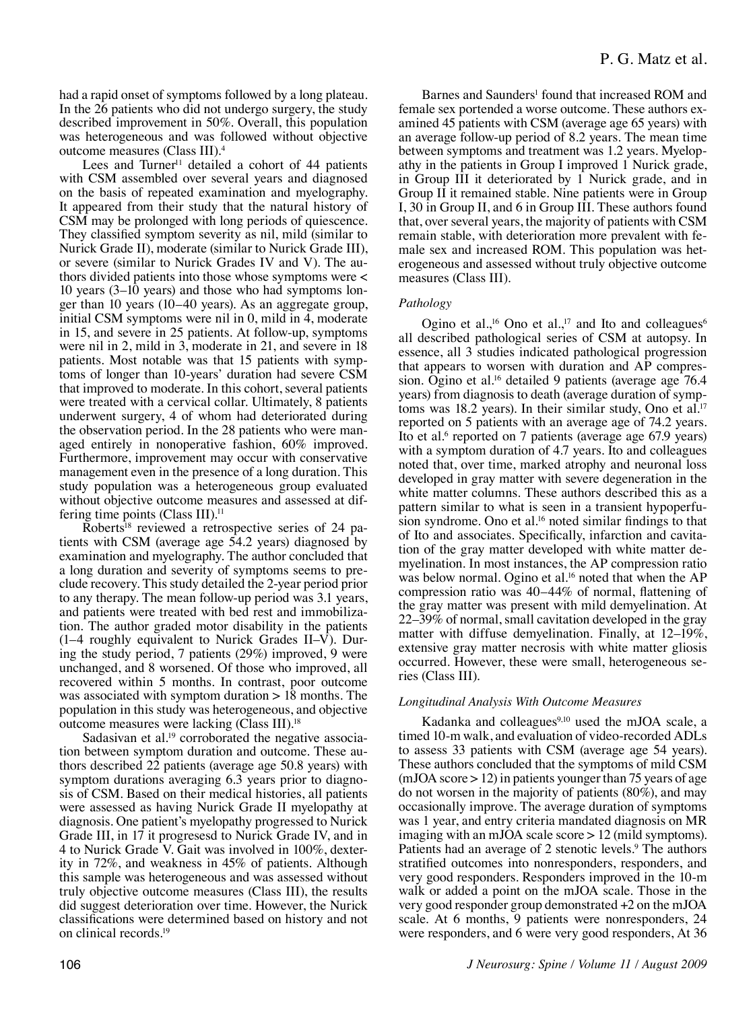had a rapid onset of symptoms followed by a long plateau. In the 26 patients who did not undergo surgery, the study described improvement in 50%. Overall, this population was heterogeneous and was followed without objective outcome measures (Class III).4

Lees and Turner<sup>11</sup> detailed a cohort of  $44$  patients with CSM assembled over several years and diagnosed on the basis of repeated examination and myelography. It appeared from their study that the natural history of CSM may be prolonged with long periods of quiescence. They classified symptom severity as nil, mild (similar to Nurick Grade II), moderate (similar to Nurick Grade III), or severe (similar to Nurick Grades IV and V). The authors divided patients into those whose symptoms were < 10 years (3–10 years) and those who had symptoms longer than 10 years (10–40 years). As an aggregate group, initial CSM symptoms were nil in 0, mild in 4, moderate in 15, and severe in 25 patients. At follow-up, symptoms were nil in 2, mild in 3, moderate in 21, and severe in 18 patients. Most notable was that 15 patients with symptoms of longer than 10-years' duration had severe CSM that improved to moderate. In this cohort, several patients were treated with a cervical collar. Ultimately, 8 patients underwent surgery, 4 of whom had deteriorated during the observation period. In the 28 patients who were managed entirely in nonoperative fashion, 60% improved. Furthermore, improvement may occur with conservative management even in the presence of a long duration. This study population was a heterogeneous group evaluated without objective outcome measures and assessed at differing time points (Class III). $<sup>11</sup>$ </sup>

Roberts<sup>18</sup> reviewed a retrospective series of 24 patients with CSM (average age 54.2 years) diagnosed by examination and myelography. The author concluded that a long duration and severity of symptoms seems to preclude recovery. This study detailed the 2-year period prior to any therapy. The mean follow-up period was 3.1 years, and patients were treated with bed rest and immobilization. The author graded motor disability in the patients (1–4 roughly equivalent to Nurick Grades II–V). During the study period, 7 patients (29%) improved, 9 were unchanged, and 8 worsened. Of those who improved, all recovered within 5 months. In contrast, poor outcome was associated with symptom duration > 18 months. The population in this study was heterogeneous, and objective outcome measures were lacking (Class III).18

Sadasivan et al.<sup>19</sup> corroborated the negative association between symptom duration and outcome. These authors described 22 patients (average age 50.8 years) with symptom durations averaging 6.3 years prior to diagnosis of CSM. Based on their medical histories, all patients were assessed as having Nurick Grade II myelopathy at diagnosis. One patient's myelopathy progressed to Nurick Grade III, in 17 it progresesd to Nurick Grade IV, and in 4 to Nurick Grade V. Gait was involved in 100%, dexterity in 72%, and weakness in 45% of patients. Although this sample was heterogeneous and was assessed without truly objective outcome measures (Class III), the results did suggest deterioration over time. However, the Nurick classifications were determined based on history and not on clinical records.19

Barnes and Saunders<sup>1</sup> found that increased ROM and female sex portended a worse outcome. These authors examined 45 patients with CSM (average age 65 years) with an average follow-up period of 8.2 years. The mean time between symptoms and treatment was 1.2 years. Myelopathy in the patients in Group I improved 1 Nurick grade, in Group III it deteriorated by 1 Nurick grade, and in Group II it remained stable. Nine patients were in Group I, 30 in Group II, and 6 in Group III. These authors found that, over several years, the majority of patients with CSM remain stable, with deterioration more prevalent with female sex and increased ROM. This population was heterogeneous and assessed without truly objective outcome measures (Class III).

# *Pathology*

Ogino et al.,<sup>16</sup> Ono et al.,<sup>17</sup> and Ito and colleagues<sup>6</sup> all described pathological series of CSM at autopsy. In essence, all 3 studies indicated pathological progression that appears to worsen with duration and AP compression. Ogino et al.<sup>16</sup> detailed 9 patients (average age 76.4) years) from diagnosis to death (average duration of symptoms was 18.2 years). In their similar study, Ono et al.<sup>17</sup> reported on 5 patients with an average age of 74.2 years. Ito et al.<sup>6</sup> reported on 7 patients (average age 67.9 years) with a symptom duration of 4.7 years. Ito and colleagues noted that, over time, marked atrophy and neuronal loss developed in gray matter with severe degeneration in the white matter columns. These authors described this as a pattern similar to what is seen in a transient hypoperfusion syndrome. Ono et al.<sup>16</sup> noted similar findings to that of Ito and associates. Specifically, infarction and cavitation of the gray matter developed with white matter demyelination. In most instances, the AP compression ratio was below normal. Ogino et al.<sup>16</sup> noted that when the AP compression ratio was 40–44% of normal, flattening of the gray matter was present with mild demyelination. At 22–39% of normal, small cavitation developed in the gray matter with diffuse demyelination. Finally, at 12–19%, extensive gray matter necrosis with white matter gliosis occurred. However, these were small, heterogeneous series (Class III).

# *Longitudinal Analysis With Outcome Measures*

Kadanka and colleagues<sup>9,10</sup> used the mJOA scale, a timed 10-m walk, and evaluation of video-recorded ADLs to assess 33 patients with CSM (average age 54 years). These authors concluded that the symptoms of mild CSM  $(mJOA score > 12)$  in patients younger than 75 years of age do not worsen in the majority of patients (80%), and may occasionally improve. The average duration of symptoms was 1 year, and entry criteria mandated diagnosis on MR imaging with an mJOA scale score > 12 (mild symptoms). Patients had an average of 2 stenotic levels.<sup>9</sup> The authors stratified outcomes into nonresponders, responders, and very good responders. Responders improved in the 10-m walk or added a point on the mJOA scale. Those in the very good responder group demonstrated +2 on the mJOA scale. At 6 months, 9 patients were nonresponders, 24 were responders, and 6 were very good responders, At 36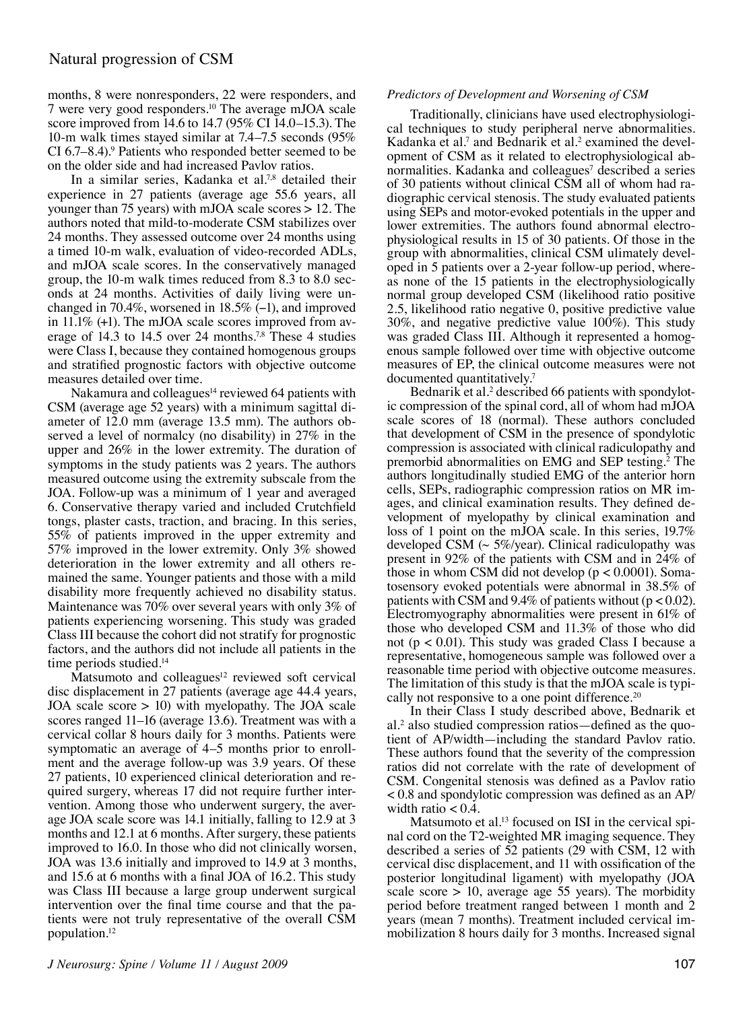months, 8 were nonresponders, 22 were responders, and 7 were very good responders.10 The average mJOA scale score improved from 14.6 to 14.7 (95% CI 14.0–15.3). The 10-m walk times stayed similar at 7.4–7.5 seconds (95% CI 6.7–8.4).<sup>9</sup> Patients who responded better seemed to be on the older side and had increased Pavlov ratios.

In a similar series, Kadanka et al.7,8 detailed their experience in 27 patients (average age 55.6 years, all younger than 75 years) with mJOA scale scores > 12. The authors noted that mild-to-moderate CSM stabilizes over 24 months. They assessed outcome over 24 months using a timed 10-m walk, evaluation of video-recorded ADLs, and mJOA scale scores. In the conservatively managed group, the 10-m walk times reduced from 8.3 to 8.0 seconds at 24 months. Activities of daily living were unchanged in 70.4%, worsened in 18.5% (−1), and improved in 11.1% (+1). The mJOA scale scores improved from average of 14.3 to 14.5 over 24 months.<sup>7,8</sup> These 4 studies were Class I, because they contained homogenous groups and stratified prognostic factors with objective outcome measures detailed over time.

Nakamura and colleagues $14$  reviewed 64 patients with CSM (average age 52 years) with a minimum sagittal diameter of 12.0 mm (average 13.5 mm). The authors observed a level of normalcy (no disability) in 27% in the upper and 26% in the lower extremity. The duration of symptoms in the study patients was 2 years. The authors measured outcome using the extremity subscale from the JOA. Follow-up was a minimum of 1 year and averaged 6. Conservative therapy varied and included Crutchfield tongs, plaster casts, traction, and bracing. In this series, 55% of patients improved in the upper extremity and 57% improved in the lower extremity. Only 3% showed deterioration in the lower extremity and all others remained the same. Younger patients and those with a mild disability more frequently achieved no disability status. Maintenance was 70% over several years with only 3% of patients experiencing worsening. This study was graded Class III because the cohort did not stratify for prognostic factors, and the authors did not include all patients in the time periods studied.14

Matsumoto and colleagues $12$  reviewed soft cervical disc displacement in 27 patients (average age 44.4 years, JOA scale score > 10) with myelopathy. The JOA scale scores ranged 11–16 (average 13.6). Treatment was with a cervical collar 8 hours daily for 3 months. Patients were symptomatic an average of 4–5 months prior to enrollment and the average follow-up was 3.9 years. Of these 27 patients, 10 experienced clinical deterioration and required surgery, whereas 17 did not require further intervention. Among those who underwent surgery, the average JOA scale score was 14.1 initially, falling to 12.9 at 3 months and 12.1 at 6 months. After surgery, these patients improved to 16.0. In those who did not clinically worsen, JOA was 13.6 initially and improved to 14.9 at 3 months, and 15.6 at 6 months with a final JOA of 16.2. This study was Class III because a large group underwent surgical intervention over the final time course and that the patients were not truly representative of the overall CSM population.12

## *Predictors of Development and Worsening of CSM*

Traditionally, clinicians have used electrophysiological techniques to study peripheral nerve abnormalities. Kadanka et al.<sup>7</sup> and Bednarik et al.<sup>2</sup> examined the development of CSM as it related to electrophysiological abnormalities. Kadanka and colleagues<sup>7</sup> described a series of 30 patients without clinical CSM all of whom had radiographic cervical stenosis. The study evaluated patients using SEPs and motor-evoked potentials in the upper and lower extremities. The authors found abnormal electrophysiological results in 15 of 30 patients. Of those in the group with abnormalities, clinical CSM ulimately developed in 5 patients over a 2-year follow-up period, whereas none of the 15 patients in the electrophysiologically normal group developed CSM (likelihood ratio positive 2.5, likelihood ratio negative 0, positive predictive value 30%, and negative predictive value 100%). This study was graded Class III. Although it represented a homogenous sample followed over time with objective outcome measures of EP, the clinical outcome measures were not documented quantitatively.7

Bednarik et al.<sup>2</sup> described 66 patients with spondylotic compression of the spinal cord, all of whom had mJOA scale scores of 18 (normal). These authors concluded that development of CSM in the presence of spondylotic compression is associated with clinical radiculopathy and premorbid abnormalities on EMG and SEP testing.2 The authors longitudinally studied EMG of the anterior horn cells, SEPs, radiographic compression ratios on MR images, and clinical examination results. They defined development of myelopathy by clinical examination and loss of 1 point on the mJOA scale. In this series, 19.7% developed CSM  $\sim$  5%/year). Clinical radiculopathy was present in 92% of the patients with CSM and in 24% of those in whom CSM did not develop ( $p < 0.0001$ ). Somatosensory evoked potentials were abnormal in 38.5% of patients with CSM and 9.4% of patients without ( $p < 0.02$ ). Electromyography abnormalities were present in 61% of those who developed CSM and 11.3% of those who did not (p < 0.01). This study was graded Class I because a representative, homogeneous sample was followed over a reasonable time period with objective outcome measures. The limitation of this study is that the mJOA scale is typically not responsive to a one point difference.<sup>20</sup>

In their Class I study described above, Bednarik et al.2 also studied compression ratios—defined as the quotient of AP/width—including the standard Pavlov ratio. These authors found that the severity of the compression ratios did not correlate with the rate of development of CSM. Congenital stenosis was defined as a Pavlov ratio < 0.8 and spondylotic compression was defined as an AP/ width ratio  $< 0.4$ .

Matsumoto et al.<sup>13</sup> focused on ISI in the cervical spinal cord on the T2-weighted MR imaging sequence. They described a series of 52 patients (29 with CSM, 12 with cervical disc displacement, and 11 with ossification of the posterior longitudinal ligament) with myelopathy (JOA scale score  $> 10$ , average age 55 years). The morbidity period before treatment ranged between 1 month and 2 years (mean 7 months). Treatment included cervical immobilization 8 hours daily for 3 months. Increased signal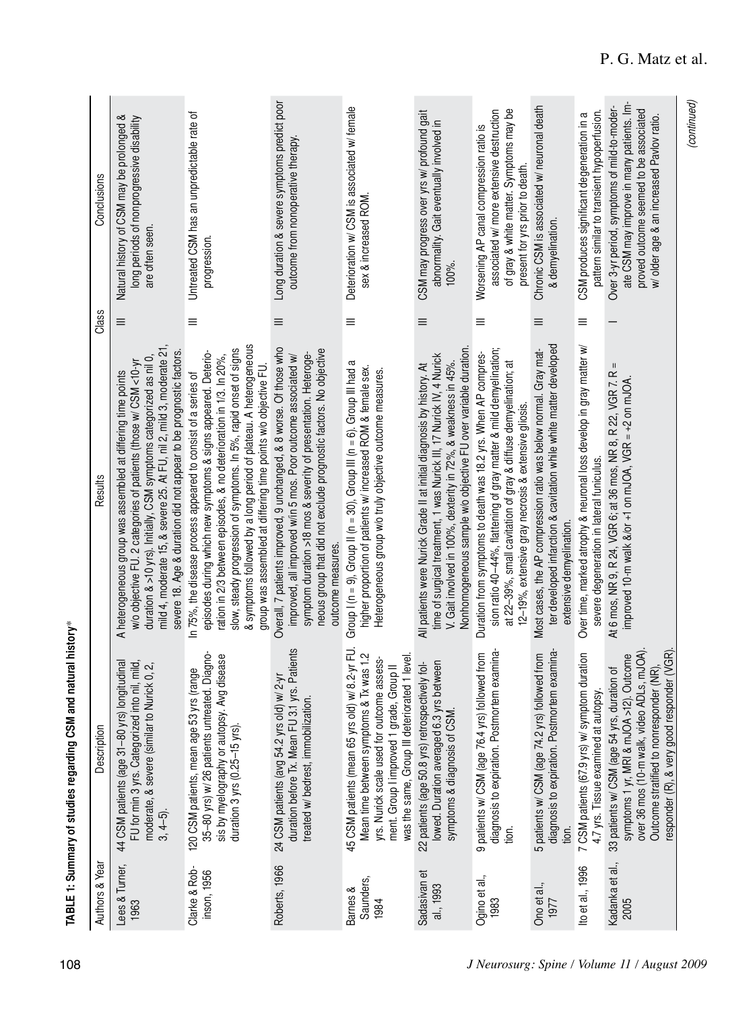| CSM may progress over yrs w/ profound gait<br>Untreated CSM has an unpredictable rate of<br>CSM produces significant degeneration in a<br>w/ older age & an increased Pavlov ratio.<br>Natural history of CSM may be prolonged &<br>long periods of nonprogressive disability<br>abnormality. Gait eventually involved in<br>Worsening AP canal compression ratio is<br>outcome from nonoperative therapy.<br>present for yrs prior to death.<br>sex & increased ROM.<br>& demyelination.<br>are often seen.<br>progression.<br>100%.<br>$\equiv$<br>$\equiv$<br>$\equiv$<br>$\equiv$<br>$\equiv$<br>$\equiv$<br>$\equiv$<br>≡<br>& symptoms followed by a long period of plateau. A heterogeneous<br>ter developed infarction & cavitation while white matter developed<br>mild 4, moderate 15, & severe 25. At FU, nil 2, mild 3, moderate 21,<br>Over time, marked atrophy & neuronal loss develop in gray matter w/<br>Nonhomogeneous sample w/o objective FU over variable duration.<br>Overall, 7 patients improved, 9 unchanged, & 8 worse. Of those who<br>sion ratio 40-44%, flattening of gray matter & mild demyelination;<br>Most cases, the AP compression ratio was below normal. Gray mat-<br>slow, steady progression of symptoms. In 5%, rapid onset of signs<br>neous group that did not exclude prognostic factors. No objective<br>severe 18. Age & duration did not appear to be prognostic factors.<br>episodes during which new symptoms & signs appeared. Deterio-<br>Duration from symptoms to death was 18.2 yrs. When AP compres-<br>symptom duration >18 mos & severity of presentation. Heteroge-<br>time of surgical treatment, 1 was Nurick III, 17 Nurick IV, 4 Nurick<br>ration in 2/3 between episodes, & no deterioration in 1/3. In 20%,<br>improved, all improved w/in 5 mos. Poor outcome associated w/<br>duration & >10 yrs). Initially, CSM symptoms categorized as nil 0,<br>w/o objective FU. 2 categories of patients (those w/ CSM <10-yr<br>V. Gait involved in 100%, dexterity in 72%, & weakness in 45%.<br>Group I (n = 9), Group II (n = 30), Group III (n = 6). Group III had a<br>at 22-39%, small cavitation of gray & diffuse demyelination; at<br>All patients were Nurick Grade II at initial diagnosis by history. At<br>group was assembled at differing time points w/o objective FU.<br>$\mathbf{I}$<br>higher proportion of patients w/ increased ROM & female sex.<br>Heterogeneous group w/o truly objective outcome measures.<br>At 6 mos, NR 9, R 24, VGR 6; at 36 mos, NR 8, R 22, VGR 7. R<br>A heterogeneous group was assembled at differing time points<br>In 75%, the disease process appeared to consist of a series of<br>improved 10-m walk &/or +1 on mJOA, VGR = +2 on mJOA.<br>12-19%, extensive gray necrosis & extensive gliosis.<br>severe degeneration in lateral funiculus.<br>extensive demyelination.<br>outcome measures.<br>45 CSM patients (mean 65 yrs old) w/ 8.2-yr FU.<br>duration before Tx. Mean FU 3.1 yrs. Patients<br>diagnosis to expiration. Postmortem examina-<br>over 36 mos (10-m walk, video ADLs, mJOA).<br>diagnosis to expiration. Postmortem examina-<br>(VGR).<br>35-80 yrs) w/ 26 patients untreated. Diagno-<br>I from<br>from<br>ration<br>Mean time between symptoms & Tx was 1.2<br>sis by myelography or autopsy. Avg disease<br>symptoms 1 yr, MRI & mJOA >12). Outcome<br>was the same, Group III deteriorated 1 level.<br>yrs. Nurick scale used for outcome assess-<br>owed. Duration averaged 6.3 yrs between<br>44 CSM patients (age 31-80 yrs) longitudinal<br>FU for min 3 yrs. Categorized into nil, mild,<br>$\frac{1}{10}$<br>moderate, & severe (similar to Nurick 0, 2,<br>ment. Group I improved 1 grade, Group II<br>R),<br>đ<br>$\overline{\mathbf{C}}$<br>120 CSM patients, mean age 53 yrs (rang<br>9 patients w/ CSM (age 76.4 yrs) followed<br>5 patients w/ CSM (age 74.2 yrs) followed<br>7 CSM patients (67.9 yrs) w/ symptom dur<br>Outcome stratified to nonresponder (N<br>24 CSM patients (avg 54.2 yrs old) w/ 2-y<br>33 patients w/ CSM (age 54 yrs, duration<br>22 patients (age 50.8 yrs) retrospectively<br>responder (R), & very good responder<br>4.7 yrs. Tissue examined at autopsy.<br>treated w/ bedrest, immobilization.<br>symptoms & diagnosis of CSM.<br>duration 3 yrs $(0.25-15$ yrs)<br>$3, 4-5$ .<br>tion.<br>tion.<br>Kadanka et al.,<br>Lees & Turner,<br>Roberts, 1966<br>lto et al., 1996<br>Clarke & Rob-<br>inson, 1956<br>Sadasivan et<br>Ogino et al.,<br>Saunders,<br>Ono et al.,<br>al., 1993<br>Barnes &<br>1983<br>1984<br>2005<br>1963<br>1977 | Authors & Year | Description | Results | Class | Conclusions                                                                                                                         |
|-----------------------------------------------------------------------------------------------------------------------------------------------------------------------------------------------------------------------------------------------------------------------------------------------------------------------------------------------------------------------------------------------------------------------------------------------------------------------------------------------------------------------------------------------------------------------------------------------------------------------------------------------------------------------------------------------------------------------------------------------------------------------------------------------------------------------------------------------------------------------------------------------------------------------------------------------------------------------------------------------------------------------------------------------------------------------------------------------------------------------------------------------------------------------------------------------------------------------------------------------------------------------------------------------------------------------------------------------------------------------------------------------------------------------------------------------------------------------------------------------------------------------------------------------------------------------------------------------------------------------------------------------------------------------------------------------------------------------------------------------------------------------------------------------------------------------------------------------------------------------------------------------------------------------------------------------------------------------------------------------------------------------------------------------------------------------------------------------------------------------------------------------------------------------------------------------------------------------------------------------------------------------------------------------------------------------------------------------------------------------------------------------------------------------------------------------------------------------------------------------------------------------------------------------------------------------------------------------------------------------------------------------------------------------------------------------------------------------------------------------------------------------------------------------------------------------------------------------------------------------------------------------------------------------------------------------------------------------------------------------------------------------------------------------------------------------------------------------------------------------------------------------------------------------------------------------------------------------------------------------------------------------------------------------------------------------------------------------------------------------------------------------------------------------------------------------------------------------------------------------------------------------------------------------------------------------------------------------------------------------------------------------------------------------------------------------------------------------------------------------------------------------------------------------------------------------------------------------------------------------------------------------------------------------------------------------------------------------------------------------------------------------------------------------------------------------------------------------------------------------------------------------------------------------------------------------------------------------------------------------------------------------------------------------------------------------------------------------------------------------------------------------------------------------------------------------------------------------------------------------------------------------------------------------------------------------------------------------------------------------------|----------------|-------------|---------|-------|-------------------------------------------------------------------------------------------------------------------------------------|
|                                                                                                                                                                                                                                                                                                                                                                                                                                                                                                                                                                                                                                                                                                                                                                                                                                                                                                                                                                                                                                                                                                                                                                                                                                                                                                                                                                                                                                                                                                                                                                                                                                                                                                                                                                                                                                                                                                                                                                                                                                                                                                                                                                                                                                                                                                                                                                                                                                                                                                                                                                                                                                                                                                                                                                                                                                                                                                                                                                                                                                                                                                                                                                                                                                                                                                                                                                                                                                                                                                                                                                                                                                                                                                                                                                                                                                                                                                                                                                                                                                                                                                                                                                                                                                                                                                                                                                                                                                                                                                                                                                                                                             |                |             |         |       |                                                                                                                                     |
|                                                                                                                                                                                                                                                                                                                                                                                                                                                                                                                                                                                                                                                                                                                                                                                                                                                                                                                                                                                                                                                                                                                                                                                                                                                                                                                                                                                                                                                                                                                                                                                                                                                                                                                                                                                                                                                                                                                                                                                                                                                                                                                                                                                                                                                                                                                                                                                                                                                                                                                                                                                                                                                                                                                                                                                                                                                                                                                                                                                                                                                                                                                                                                                                                                                                                                                                                                                                                                                                                                                                                                                                                                                                                                                                                                                                                                                                                                                                                                                                                                                                                                                                                                                                                                                                                                                                                                                                                                                                                                                                                                                                                             |                |             |         |       |                                                                                                                                     |
| J Neurosurg: Spine / Volume 11 / August 2009                                                                                                                                                                                                                                                                                                                                                                                                                                                                                                                                                                                                                                                                                                                                                                                                                                                                                                                                                                                                                                                                                                                                                                                                                                                                                                                                                                                                                                                                                                                                                                                                                                                                                                                                                                                                                                                                                                                                                                                                                                                                                                                                                                                                                                                                                                                                                                                                                                                                                                                                                                                                                                                                                                                                                                                                                                                                                                                                                                                                                                                                                                                                                                                                                                                                                                                                                                                                                                                                                                                                                                                                                                                                                                                                                                                                                                                                                                                                                                                                                                                                                                                                                                                                                                                                                                                                                                                                                                                                                                                                                                                |                |             |         |       | Long duration & severe symptoms predict poor                                                                                        |
|                                                                                                                                                                                                                                                                                                                                                                                                                                                                                                                                                                                                                                                                                                                                                                                                                                                                                                                                                                                                                                                                                                                                                                                                                                                                                                                                                                                                                                                                                                                                                                                                                                                                                                                                                                                                                                                                                                                                                                                                                                                                                                                                                                                                                                                                                                                                                                                                                                                                                                                                                                                                                                                                                                                                                                                                                                                                                                                                                                                                                                                                                                                                                                                                                                                                                                                                                                                                                                                                                                                                                                                                                                                                                                                                                                                                                                                                                                                                                                                                                                                                                                                                                                                                                                                                                                                                                                                                                                                                                                                                                                                                                             |                |             |         |       | Deterioration w/ CSM is associated w/ female                                                                                        |
|                                                                                                                                                                                                                                                                                                                                                                                                                                                                                                                                                                                                                                                                                                                                                                                                                                                                                                                                                                                                                                                                                                                                                                                                                                                                                                                                                                                                                                                                                                                                                                                                                                                                                                                                                                                                                                                                                                                                                                                                                                                                                                                                                                                                                                                                                                                                                                                                                                                                                                                                                                                                                                                                                                                                                                                                                                                                                                                                                                                                                                                                                                                                                                                                                                                                                                                                                                                                                                                                                                                                                                                                                                                                                                                                                                                                                                                                                                                                                                                                                                                                                                                                                                                                                                                                                                                                                                                                                                                                                                                                                                                                                             |                |             |         |       |                                                                                                                                     |
|                                                                                                                                                                                                                                                                                                                                                                                                                                                                                                                                                                                                                                                                                                                                                                                                                                                                                                                                                                                                                                                                                                                                                                                                                                                                                                                                                                                                                                                                                                                                                                                                                                                                                                                                                                                                                                                                                                                                                                                                                                                                                                                                                                                                                                                                                                                                                                                                                                                                                                                                                                                                                                                                                                                                                                                                                                                                                                                                                                                                                                                                                                                                                                                                                                                                                                                                                                                                                                                                                                                                                                                                                                                                                                                                                                                                                                                                                                                                                                                                                                                                                                                                                                                                                                                                                                                                                                                                                                                                                                                                                                                                                             |                |             |         |       | of gray & white matter. Symptoms may be<br>associated w/ more extensive destruction                                                 |
|                                                                                                                                                                                                                                                                                                                                                                                                                                                                                                                                                                                                                                                                                                                                                                                                                                                                                                                                                                                                                                                                                                                                                                                                                                                                                                                                                                                                                                                                                                                                                                                                                                                                                                                                                                                                                                                                                                                                                                                                                                                                                                                                                                                                                                                                                                                                                                                                                                                                                                                                                                                                                                                                                                                                                                                                                                                                                                                                                                                                                                                                                                                                                                                                                                                                                                                                                                                                                                                                                                                                                                                                                                                                                                                                                                                                                                                                                                                                                                                                                                                                                                                                                                                                                                                                                                                                                                                                                                                                                                                                                                                                                             |                |             |         |       | Chronic CSM is associated w/ neuronal death                                                                                         |
|                                                                                                                                                                                                                                                                                                                                                                                                                                                                                                                                                                                                                                                                                                                                                                                                                                                                                                                                                                                                                                                                                                                                                                                                                                                                                                                                                                                                                                                                                                                                                                                                                                                                                                                                                                                                                                                                                                                                                                                                                                                                                                                                                                                                                                                                                                                                                                                                                                                                                                                                                                                                                                                                                                                                                                                                                                                                                                                                                                                                                                                                                                                                                                                                                                                                                                                                                                                                                                                                                                                                                                                                                                                                                                                                                                                                                                                                                                                                                                                                                                                                                                                                                                                                                                                                                                                                                                                                                                                                                                                                                                                                                             |                |             |         |       | pattern similar to transient hypoperfusion.                                                                                         |
|                                                                                                                                                                                                                                                                                                                                                                                                                                                                                                                                                                                                                                                                                                                                                                                                                                                                                                                                                                                                                                                                                                                                                                                                                                                                                                                                                                                                                                                                                                                                                                                                                                                                                                                                                                                                                                                                                                                                                                                                                                                                                                                                                                                                                                                                                                                                                                                                                                                                                                                                                                                                                                                                                                                                                                                                                                                                                                                                                                                                                                                                                                                                                                                                                                                                                                                                                                                                                                                                                                                                                                                                                                                                                                                                                                                                                                                                                                                                                                                                                                                                                                                                                                                                                                                                                                                                                                                                                                                                                                                                                                                                                             |                |             |         |       | ate CSM may improve in many patients. Im-<br>Over 3-yr period, symptoms of mild-to-moder-<br>proved outcome seemed to be associated |

P. G. Matz et al.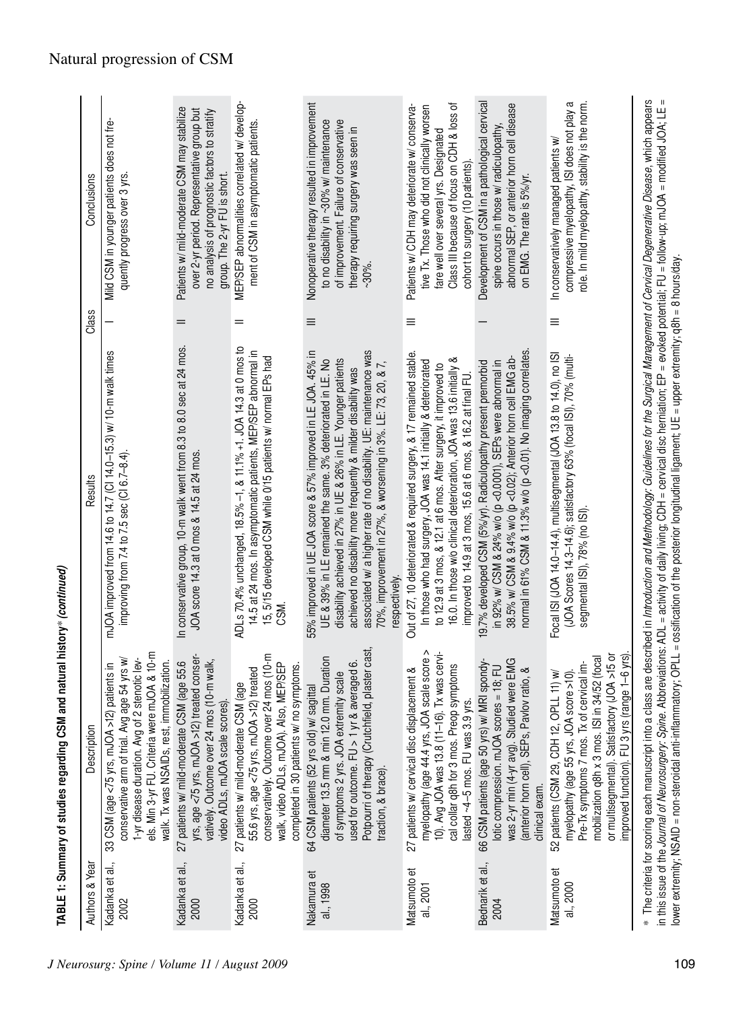| Authors & Year                 | Description                                                                                                                                                                                                                                                                        | Results                                                                                                                                                                                                                                                                                                                                                                                                                                                                                                                                                             | Class    | Conclusions                                                                                                                                                                                                              |
|--------------------------------|------------------------------------------------------------------------------------------------------------------------------------------------------------------------------------------------------------------------------------------------------------------------------------|---------------------------------------------------------------------------------------------------------------------------------------------------------------------------------------------------------------------------------------------------------------------------------------------------------------------------------------------------------------------------------------------------------------------------------------------------------------------------------------------------------------------------------------------------------------------|----------|--------------------------------------------------------------------------------------------------------------------------------------------------------------------------------------------------------------------------|
| Kadanka et al.,<br><b>2002</b> | els. Min 3-yr FU. Criteria were mJOA & 10-m<br>1-yr disease duration. Avg of 2 stenotic lev-<br>conservative arm of trial. Avg age 54 yrs w/<br>walk. Tx was NSAIDs, rest, immobilization.<br>$\equiv$<br>33 CSM (age <75 yrs, mJOA >12) patients                                  | mJOA improved from 14.6 to 14.7 (Cl 14.0-15.3) w/ 10-m walk times<br>improving from 7.4 to 7.5 sec (CI 6.7-8.4)                                                                                                                                                                                                                                                                                                                                                                                                                                                     |          | Mild CSM in younger patients does not fre-<br>quently progress over 3 yrs.                                                                                                                                               |
| Kadanka et al.,<br>2000        | yrs, age <75 yrs, mJOA >12) treated conser-<br>27 patients w/ mild-moderate CSM (age 55.6<br>vatively. Outcome over 24 mos (10-m walk,<br>video ADLs, mJOA scale scores)                                                                                                           | In conservative group, 10-m walk went from 8.3 to 8.0 sec at 24 mos.<br>JOA score 14.3 at 0 mos & 14.5 at 24 mos.                                                                                                                                                                                                                                                                                                                                                                                                                                                   | =        | Patients w/ mild-moderate CSM may stabilize<br>over 2-yr period. Representative group but<br>no analysis of prognostic factors to stratify<br>group. The 2-yr FU is short.                                               |
| Kadanka et al.,<br>2000        | conservatively. Outcome over 24 mos (10-m<br>walk, video ADLs, mJOA). Also, MEP/SEP<br>completed in 30 patients w/ no symptoms.<br>55.6 yrs, age <75 yrs, mJOA >12) treated<br>27 patients w/ mild-moderate CSM (age                                                               | ADLs 70.4% unchanged, 18.5% -1, & 11.1% +1. JOA 14.3 at 0 mos to<br>14.5 at 24 mos. In asymptomatic patients, MEP/SEP abnormal in<br>15, 5/15 developed CSM while 0/15 patients w/ normal EPs had<br>CSM.                                                                                                                                                                                                                                                                                                                                                           | =        | MEP/SEP abnormalities correlated w/ develop-<br>ment of CSM in asymptomatic patients.                                                                                                                                    |
| Nakamura et<br>al., 1998       | Potpourri of therapy (Crutchfield, plaster cast,<br>diameter 13.5 mm & min 12.0 mm. Duration<br>$\dot{\circ}$<br>of symptoms 2 yrs. JOA extremity scale<br>used for outcome. $FU > 1$ yr & averaged<br>64 CSM patients (52 yrs old) w/ sagittal<br>traction, & brace).             | associated w/ a higher rate of no disability. UE: maintenance was<br>55% improved in UE JOA score & 57% improved in LE JOA. 45% in<br>disability achieved in 27% in UE & 26% in LE. Younger patients<br>UE & 39% in LE remained the same. 3% deteriorated in LE. No<br>70%, improvement in 27%, & worsening in 3%. LE: 73, 20, & 7,<br>achieved no disability more frequently & milder disability was<br>respectively.                                                                                                                                              | Ξ        | Nonoperative therapy resulted in improvement<br>to no disability in ~30% w/ maintenance<br>of improvement. Failure of conservative<br>therapy requiring surgery was seen in<br>$-30\%$ .                                 |
| Matsumoto et<br>al., 2001      | myelopathy (age 44.4 yrs, JOA scale score ><br>10). Avg JOA was 13.8 (11-16). Tx was cervi-<br>cal collar q8h for 3 mos. Preop symptoms<br>27 patients w/ cervical disc displacement &<br>lasted ~4-5 mos. FU was 3.9 yrs.                                                         | Out of 27, 10 deteriorated & required surgery, & 17 remained stable.<br>16.0. In those w/o clinical deterioration, JOA was 13.6 initially &<br>In those who had surgery, JOA was 14.1 initially & deteriorated<br>to 12.9 at 3 mos, & 12.1 at 6 mos. After surgery, it improved to<br>improved to 14.9 at 3 mos, 15.6 at 6 mos, & 16.2 at final FU                                                                                                                                                                                                                  | $\equiv$ | Class III because of focus on CDH & loss of<br>Patients w/ CDH may deteriorate w/ conserva-<br>tive Tx. Those who did not clinically worsen<br>fare well over several yrs. Designated<br>cohort to surgery (10 patients) |
| Bednarik et al.,<br>2004       | was 2-yr min (4-yr avg). Studied were EMG<br>66 CSM patients (age 50 yrs) w/ MRI spondy-<br>lotic compression. mJOA scores = 18; FU<br>(anterior horn cell), SEPs, Pavlov ratio, &<br>clinical exam.                                                                               | normal in 61% CSM & 11.3% w/o (p <0.01). No imaging correlates.<br>38.5% w/ CSM & 9.4% w/o (p <0.02); Anterior horn cell EMG ab-<br>in 92% w/ CSM & 24% w/o (p <0.0001), SEPs were abnormal in<br>9.7% developed CSM (5%/yr). Radiculopathy present premorbid                                                                                                                                                                                                                                                                                                       |          | Development of CSM in a pathological cervical<br>abnormal SEP, or anterior horn cell disease<br>spine occurs in those w/ radiculopathy,<br>EMG. The rate is 5%yr.<br>$\overline{5}$                                      |
| Matsumoto et<br>al., 2000      | or multisegmental). Satisfactory (JOA >15 or<br>improved function). FU 3 yrs (range 1-6 yrs).<br>mobilization q8h x 3 mos. ISI in 34/52 (focal<br>Pre-Tx symptoms 7 mos. Tx of cervical im-<br>52 patients (CSM 29, CDH 12, OPLL 11) w/<br>myelopathy (age 55 yrs, JOA score >10). | Focal ISI (JOA 14.0-14.4), multisegmental (JOA 13.8 to 14.0), no ISI<br>(JOA Scores 14.3-14.6); satisfactory 63% (focal ISI), 70% (multi-<br>segmental ISI), 78% (no ISI)                                                                                                                                                                                                                                                                                                                                                                                           | $\equiv$ | role. In mild myelopathy, stability is the norm.<br>compressive myelopathy, ISI does not play a<br>In conservatively managed patients w/                                                                                 |
|                                |                                                                                                                                                                                                                                                                                    | * The criteria for scoring each manuscript into a class are described in Introduction and Methodogy: Guidelines for the Surgical Management of Cervical Degenerative Disease, which appears<br>in this issue of the Journal of Neurosurgery: Spine. Abbreviations: ADL = activity of daily living; CDH = cervical disc herniation; EP = evoked potential; FU = follow-up; mJOA = modified JOA; LE<br>lower extremity; NSAID = non-steroidal anti-inflammatory; OPLL = ossification of the posterior longitudinal ligament; UE = upper extremity; q8h = 8 hours/day. |          |                                                                                                                                                                                                                          |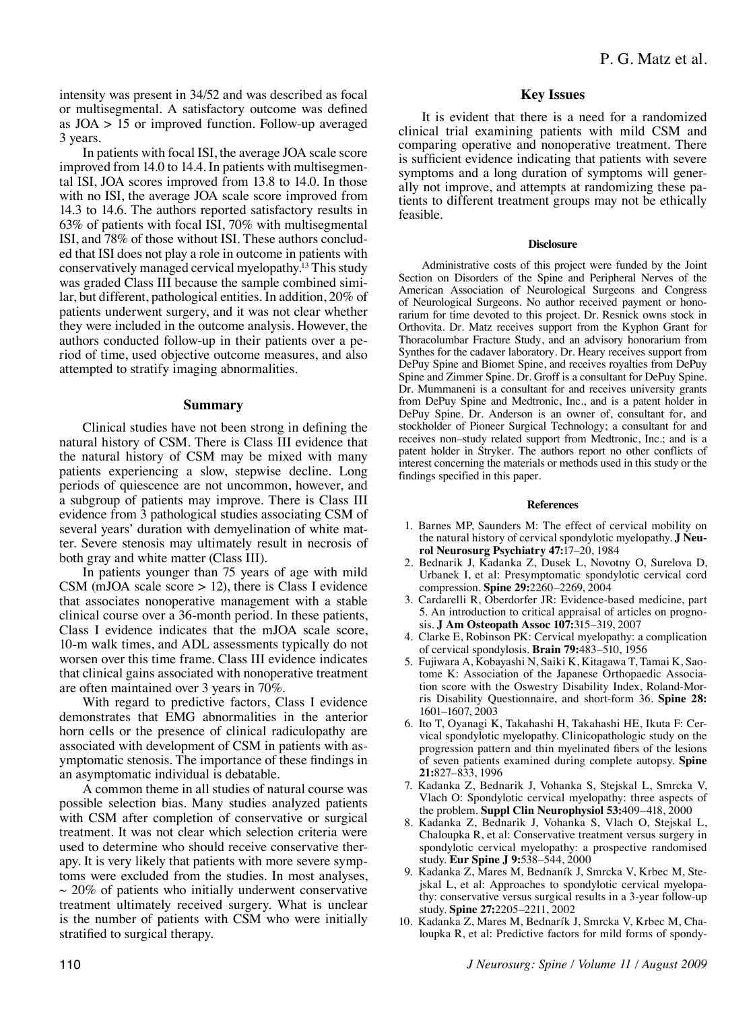intensity was present in 34/52 and was described as focal or multisegmental. A satisfactory outcome was defined as JOA > 15 or improved function. Follow-up averaged 3 years.

In patients with focal ISI, the average JOA scale score improved from 14.0 to 14.4. In patients with multisegmental ISI, JOA scores improved from 13.8 to 14.0. In those with no ISI, the average JOA scale score improved from 14.3 to 14.6. The authors reported satisfactory results in 63% of patients with focal ISI, 70% with multisegmental ISI, and 78% of those without ISI. These authors concluded that ISI does not play a role in outcome in patients with conservatively managed cervical myelopathy.13 This study was graded Class III because the sample combined similar, but different, pathological entities. In addition, 20% of patients underwent surgery, and it was not clear whether they were included in the outcome analysis. However, the authors conducted follow-up in their patients over a period of time, used objective outcome measures, and also attempted to stratify imaging abnormalities.

## **Summary**

Clinical studies have not been strong in defining the natural history of CSM. There is Class III evidence that the natural history of CSM may be mixed with many patients experiencing a slow, stepwise decline. Long periods of quiescence are not uncommon, however, and a subgroup of patients may improve. There is Class III evidence from 3 pathological studies associating CSM of several years' duration with demyelination of white matter. Severe stenosis may ultimately result in necrosis of both gray and white matter (Class III).

In patients younger than 75 years of age with mild CSM (mJOA scale score  $> 12$ ), there is Class I evidence that associates nonoperative management with a stable clinical course over a 36-month period. In these patients, Class I evidence indicates that the mJOA scale score, 10-m walk times, and ADL assessments typically do not worsen over this time frame. Class III evidence indicates that clinical gains associated with nonoperative treatment are often maintained over 3 years in 70%.

With regard to predictive factors, Class I evidence demonstrates that EMG abnormalities in the anterior horn cells or the presence of clinical radiculopathy are associated with development of CSM in patients with asymptomatic stenosis. The importance of these findings in an asymptomatic individual is debatable.

A common theme in all studies of natural course was possible selection bias. Many studies analyzed patients with CSM after completion of conservative or surgical treatment. It was not clear which selection criteria were used to determine who should receive conservative therapy. It is very likely that patients with more severe symptoms were excluded from the studies. In most analyses,  $\sim$  20% of patients who initially underwent conservative treatment ultimately received surgery. What is unclear is the number of patients with CSM who were initially stratified to surgical therapy.

## **Key Issues**

It is evident that there is a need for a randomized clinical trial examining patients with mild CSM and comparing operative and nonoperative treatment. There is sufficient evidence indicating that patients with severe symptoms and a long duration of symptoms will generally not improve, and attempts at randomizing these patients to different treatment groups may not be ethically feasible.

#### **Disclosure**

Administrative costs of this project were funded by the Joint Section on Disorders of the Spine and Peripheral Nerves of the American Association of Neurological Surgeons and Congress of Neurological Surgeons. No author received payment or honorarium for time devoted to this project. Dr. Resnick owns stock in Orthovita. Dr. Matz receives support from the Kyphon Grant for Thoracolumbar Fracture Study, and an advisory honorarium from Synthes for the cadaver laboratory. Dr. Heary receives support from DePuy Spine and Biomet Spine, and receives royalties from DePuy Spine and Zimmer Spine. Dr. Groff is a consultant for DePuy Spine. Dr. Mummaneni is a consultant for and receives university grants from DePuy Spine and Medtronic, Inc., and is a patent holder in DePuy Spine. Dr. Anderson is an owner of, consultant for, and stockholder of Pioneer Surgical Technology; a consultant for and receives non–study related support from Medtronic, Inc.; and is a patent holder in Stryker. The authors report no other conflicts of interest concerning the materials or methods used in this study or the findings specified in this paper.

#### **References**

- 1. Barnes MP, Saunders M: The effect of cervical mobility on the natural history of cervical spondylotic myelopathy. **J Neurol Neurosurg Psychiatry 47:**17–20, 1984
- 2. Bednarik J, Kadanka Z, Dusek L, Novotny O, Surelova D, Urbanek I, et al: Presymptomatic spondylotic cervical cord compression. **Spine 29:**2260–2269, 2004
- 3. Cardarelli R, Oberdorfer JR: Evidence-based medicine, part 5. An introduction to critical appraisal of articles on prognosis. **J Am Osteopath Assoc 107:**315–319, 2007
- 4. Clarke E, Robinson PK: Cervical myelopathy: a complication of cervical spondylosis. **Brain 79:**483–510, 1956
- 5. Fujiwara A, Kobayashi N, Saiki K, Kitagawa T, Tamai K, Saotome K: Association of the Japanese Orthopaedic Association score with the Oswestry Disability Index, Roland-Morris Disability Questionnaire, and short-form 36. **Spine 28:** 1601–1607, 2003
- 6. Ito T, Oyanagi K, Takahashi H, Takahashi HE, Ikuta F: Cervical spondylotic myelopathy. Clinicopathologic study on the progression pattern and thin myelinated fibers of the lesions of seven patients examined during complete autopsy. **Spine 21:**827–833, 1996
- 7. Kadanka Z, Bednarik J, Vohanka S, Stejskal L, Smrcka V, Vlach O: Spondylotic cervical myelopathy: three aspects of the problem. **Suppl Clin Neurophysiol 53:**409–418, 2000
- 8. Kadanka Z, Bednarik J, Vohanka S, Vlach O, Stejskal L, Chaloupka R, et al: Conservative treatment versus surgery in spondylotic cervical myelopathy: a prospective randomised study. **Eur Spine J 9:**538–544, 2000
- 9. Kadanka Z, Mares M, Bednaník J, Smrcka V, Krbec M, Stejskal L, et al: Approaches to spondylotic cervical myelopathy: conservative versus surgical results in a 3-year follow-up study. **Spine 27:**2205–2211, 2002
- 10. Kadanka Z, Mares M, Bednarík J, Smrcka V, Krbec M, Chaloupka R, et al: Predictive factors for mild forms of spondy-